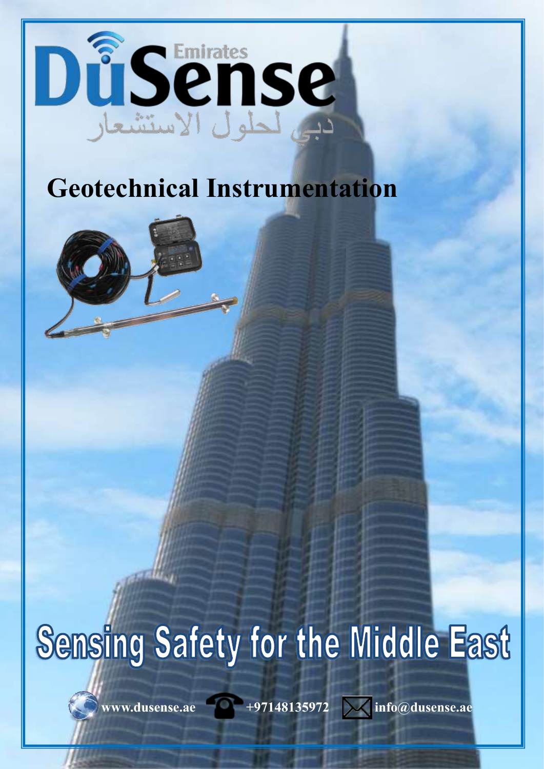

## **Geotechnical Instrumentation**



## Sensing Safety for the Middle East

www.dusense.ae **+97148135972**  $\sqrt{\phantom{a}}$  info@dusense.ae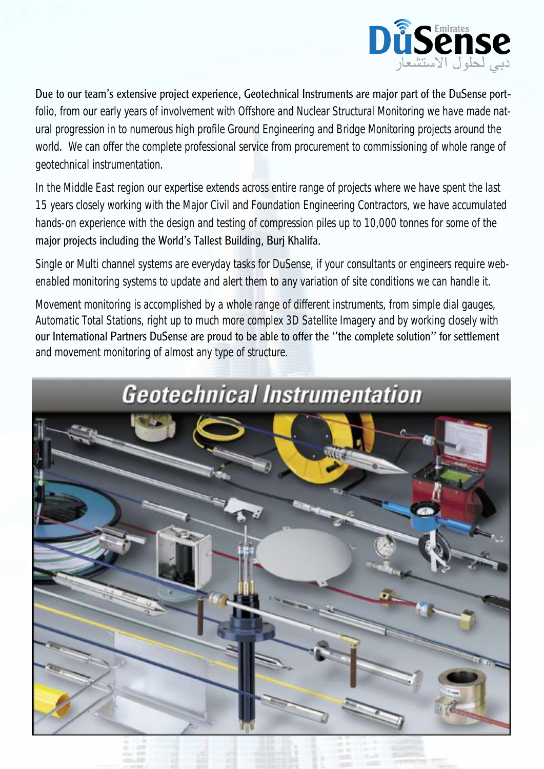

Due to our team's extensive project experience, Geotechnical Instruments are major part of the DuSense portfolio, from our early years of involvement with Offshore and Nuclear Structural Monitoring we have made natural progression in to numerous high profile Ground Engineering and Bridge Monitoring projects around the world. We can offer the complete professional service from procurement to commissioning of whole range of geotechnical instrumentation.

In the Middle East region our expertise extends across entire range of projects where we have spent the last 15 years closely working with the Major Civil and Foundation Engineering Contractors, we have accumulated hands-on experience with the design and testing of compression piles up to 10,000 tonnes for some of the major projects including the World's Tallest Building, Burj Khalifa.

Single or Multi channel systems are everyday tasks for DuSense, if your consultants or engineers require webenabled monitoring systems to update and alert them to any variation of site conditions we can handle it.

Movement monitoring is accomplished by a whole range of different instruments, from simple dial gauges, Automatic Total Stations, right up to much more complex 3D Satellite Imagery and by working closely with our International Partners DuSense are proud to be able to offer the ''the complete solution'' for settlement and movement monitoring of almost any type of structure.

## **Geotechnical Instrumentation**

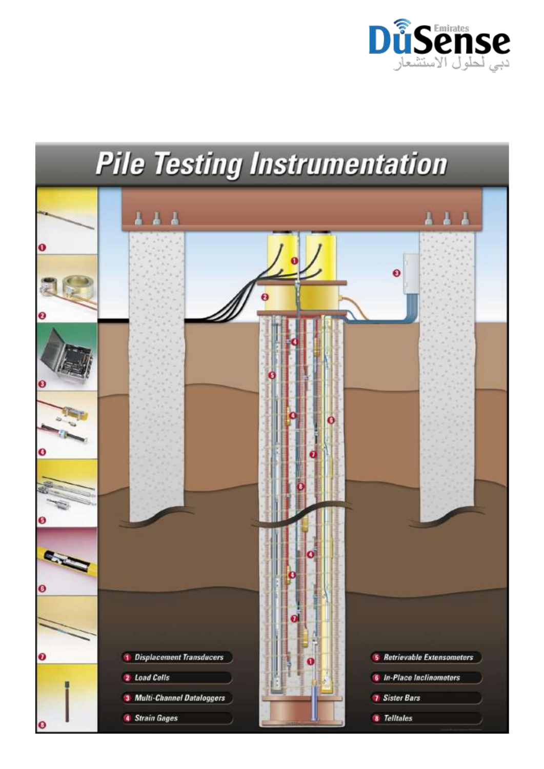

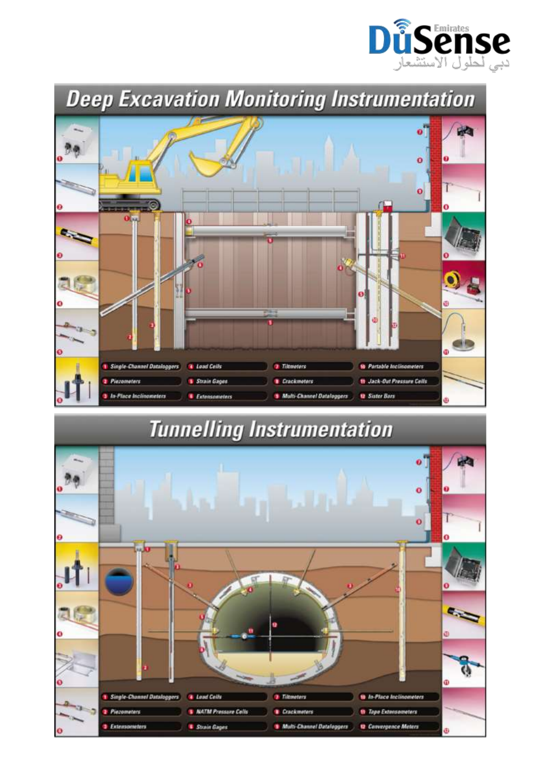